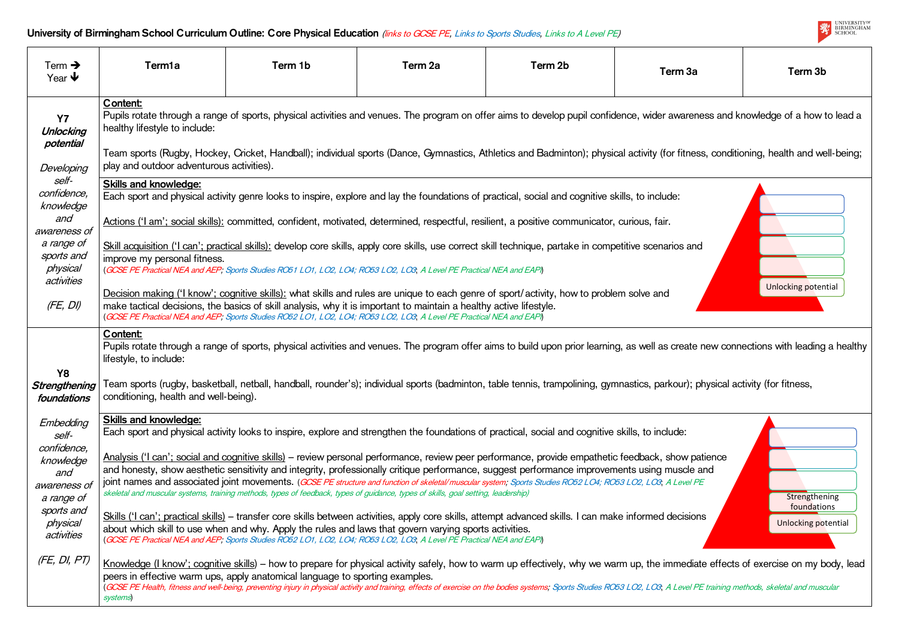| Term $\rightarrow$<br>Year $\blacklozenge$                                                    | Term <sub>1</sub> a                                                                                                                                                                                                                                                                                                                                                                                                                             | Term 1b                                                                                                                                                                                                                                                                                                                                                                                                                                                                                                                                                                                                 | Term 2a | Term 2b | Term 3a | Term <sub>3b</sub>               |  |  |
|-----------------------------------------------------------------------------------------------|-------------------------------------------------------------------------------------------------------------------------------------------------------------------------------------------------------------------------------------------------------------------------------------------------------------------------------------------------------------------------------------------------------------------------------------------------|---------------------------------------------------------------------------------------------------------------------------------------------------------------------------------------------------------------------------------------------------------------------------------------------------------------------------------------------------------------------------------------------------------------------------------------------------------------------------------------------------------------------------------------------------------------------------------------------------------|---------|---------|---------|----------------------------------|--|--|
| <b>Y7</b><br>Unlocking<br>potential<br>Developing<br>self-<br>confidence,<br>knowledge<br>and | Content:<br>Pupils rotate through a range of sports, physical activities and venues. The program on offer aims to develop pupil confidence, wider awareness and knowledge of a how<br>healthy lifestyle to include:<br>Team sports (Rugby, Hockey, Cricket, Handball); individual sports (Dance, Gymnastics, Athletics and Badminton); physical activity (for fitness, conditioning, health and we<br>play and outdoor adventurous activities). |                                                                                                                                                                                                                                                                                                                                                                                                                                                                                                                                                                                                         |         |         |         |                                  |  |  |
|                                                                                               | <b>Skills and knowledge:</b>                                                                                                                                                                                                                                                                                                                                                                                                                    | Each sport and physical activity genre looks to inspire, explore and lay the foundations of practical, social and cognitive skills, to include:<br>Actions ('I am'; social skills): committed, confident, motivated, determined, respectful, resilient, a positive communicator, curious, fair.                                                                                                                                                                                                                                                                                                         |         |         |         |                                  |  |  |
| awareness of<br>a range of<br>sports and<br>physical<br>activities                            | improve my personal fitness.                                                                                                                                                                                                                                                                                                                                                                                                                    | Skill acquisition ('I can'; practical skills): develop core skills, apply core skills, use correct skill technique, partake in competitive scenarios and<br>(GCSE PE Practical NEA and AEP; Sports Studies RO51 LO1, LO2, LO4; RO53 LO2, LO3, A Level PE Practical NEA and EAPI)                                                                                                                                                                                                                                                                                                                        |         |         |         |                                  |  |  |
| (FE, DI)                                                                                      | <b>Unlocking poten</b><br>Decision making ('I know'; cognitive skills): what skills and rules are unique to each genre of sport/activity, how to problem solve and<br>make tactical decisions, the basics of skill analysis, why it is important to maintain a healthy active lifestyle.<br>(GCSE PE Practical NEA and AEP; Sports Studies RO52 LO1, LO2, LO4; RO53 LO2, LO3, A Level PE Practical NEA and EAPI)                                |                                                                                                                                                                                                                                                                                                                                                                                                                                                                                                                                                                                                         |         |         |         |                                  |  |  |
| Y8<br>Strengthening<br>foundations                                                            | Content:<br>lifestyle, to include:<br>conditioning, health and well-being).                                                                                                                                                                                                                                                                                                                                                                     | Pupils rotate through a range of sports, physical activities and venues. The program offer aims to build upon prior learning, as well as create new connections with leading<br>Team sports (rugby, basketball, netball, handball, rounder's); individual sports (badminton, table tennis, trampolining, gymnastics, parkour); physical activity (for fitness,                                                                                                                                                                                                                                          |         |         |         |                                  |  |  |
| Embedding<br>self-                                                                            | <b>Skills and knowledge:</b>                                                                                                                                                                                                                                                                                                                                                                                                                    | Each sport and physical activity looks to inspire, explore and strengthen the foundations of practical, social and cognitive skills, to include:                                                                                                                                                                                                                                                                                                                                                                                                                                                        |         |         |         |                                  |  |  |
| confidence,<br>knowledge<br>and<br>awareness of<br>a range of                                 |                                                                                                                                                                                                                                                                                                                                                                                                                                                 | Analysis ('I can'; social and cognitive skills) – review personal performance, review peer performance, provide empathetic feedback, show patience<br>and honesty, show aesthetic sensitivity and integrity, professionally critique performance, suggest performance improvements using muscle and<br>joint names and associated joint movements. (GCSE PE structure and function of skeletal/muscular system; Sports Studies RO52 LO4; RO53 LO2, LO3, A Level PE<br>skeletal and muscular systems, training methods, types of feedback, types of guidance, types of skills, goal setting, leadership) |         |         |         | Strengther                       |  |  |
| sports and<br>physical<br>activities                                                          |                                                                                                                                                                                                                                                                                                                                                                                                                                                 | Skills ('I can'; practical skills) – transfer core skills between activities, apply core skills, attempt advanced skills. I can make informed decisions<br>about which skill to use when and why. Apply the rules and laws that govern varying sports activities.<br>(GCSE PE Practical NEA and AEP; Sports Studies RO52 LO1, LO2, LO4; RO53 LO2, LO3, A Level PE Practical NEA and EAPI)                                                                                                                                                                                                               |         |         |         | foundatic<br><b>Unlocking po</b> |  |  |
| (FE, DI, PT)                                                                                  | systems)                                                                                                                                                                                                                                                                                                                                                                                                                                        | Knowledge (I know'; cognitive skills) - how to prepare for physical activity safely, how to warm up effectively, why we warm up, the immediate effects of exercise on my b<br>peers in effective warm ups, apply anatomical language to sporting examples.<br>(GCSE PE Health, fitness and well-being, preventing injury in physical activity and training, effects of exercise on the bodies systems; Sports Studies RO53 LO2, LO3, A Level PE training methods, skeletal and musc                                                                                                                     |         |         |         |                                  |  |  |



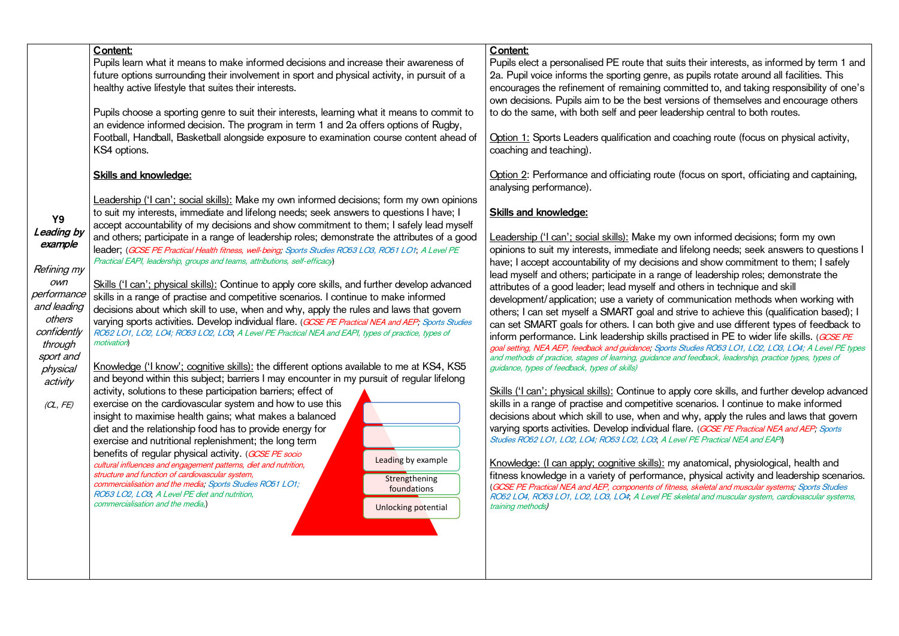their interests, as informed by term 1 and pupils rotate around all facilities. This hitted to, and taking responsibility of one's ons of themselves and encourage others to do the same ship central to both routes.

ching route (focus on physical activity,

ocus on sport, officiating and captaining,

n informed decisions; form my own elong needs; seek answers to questions I nd show commitment to them; I safely of leadership roles; demonstrate the hers in technique and skill munication methods when working with ive to achieve this (qualification based); I e and use different types of feedback to tised in PE to wider life skills. (*GCSE PE* udies RO53 LO1, LO2, LO3, LO4; A Level PE types feedback, leadership, practice types, types of

y core skills, and further develop advanced enarios. I continue to make informed hy, apply the rules and laws that govern e. (GCSE PE Practical NEA and AEP; Sports. **PE Practical NEA and EAPI** 

natomical, physiological, health and physical activity and leadership scenarios. skeletal and muscular systems; Sports Studies etal and muscular system, cardiovascular systems,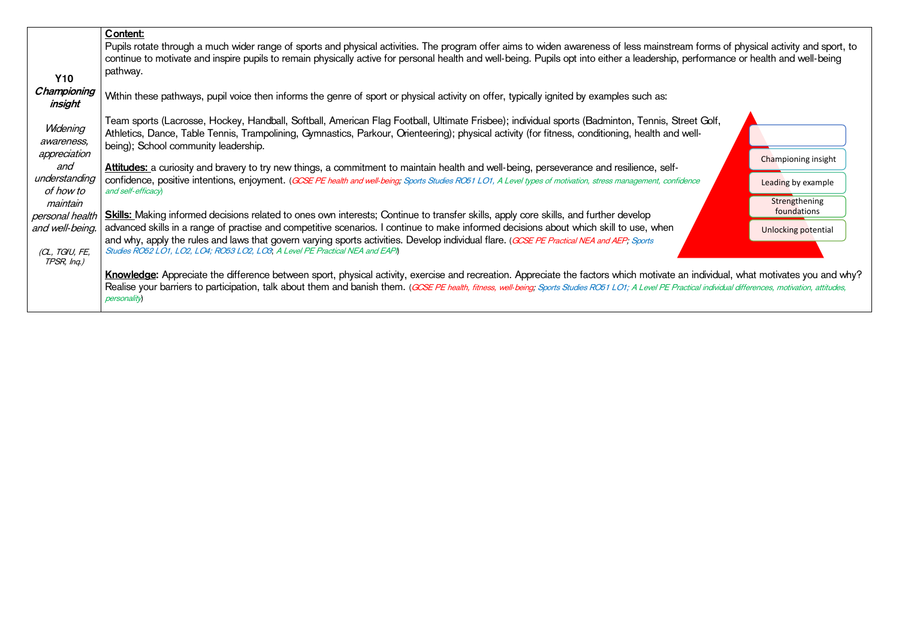|                                                                                                                                                 | Content:                                                                                                                                                                                                                                                                                                                                                                                                                                                                                                                                                                                                                                                                                                                                                                                                                                                                                                                                                                                                                                                                                                                                                                                                                                                                                                   |
|-------------------------------------------------------------------------------------------------------------------------------------------------|------------------------------------------------------------------------------------------------------------------------------------------------------------------------------------------------------------------------------------------------------------------------------------------------------------------------------------------------------------------------------------------------------------------------------------------------------------------------------------------------------------------------------------------------------------------------------------------------------------------------------------------------------------------------------------------------------------------------------------------------------------------------------------------------------------------------------------------------------------------------------------------------------------------------------------------------------------------------------------------------------------------------------------------------------------------------------------------------------------------------------------------------------------------------------------------------------------------------------------------------------------------------------------------------------------|
| <b>Y10</b>                                                                                                                                      | Pupils rotate through a much wider range of sports and physical activities. The program offer aims to widen awareness of less mainstream forms of physical activity and sport, to<br>continue to motivate and inspire pupils to remain physically active for personal health and well-being. Pupils opt into either a leadership, performance or health and well-being<br>pathway.                                                                                                                                                                                                                                                                                                                                                                                                                                                                                                                                                                                                                                                                                                                                                                                                                                                                                                                         |
| Championing<br>insight                                                                                                                          | Within these pathways, pupil voice then informs the genre of sport or physical activity on offer, typically ignited by examples such as:                                                                                                                                                                                                                                                                                                                                                                                                                                                                                                                                                                                                                                                                                                                                                                                                                                                                                                                                                                                                                                                                                                                                                                   |
| Widening<br>awareness,<br>appreciation<br>and<br>understanding<br>of how to<br>maintain<br>personal health<br>and well-being.<br>(CL, TGfU, FE, | Team sports (Lacrosse, Hockey, Handball, Softball, American Flag Football, Ultimate Frisbee); individual sports (Badminton, Tennis, Street Golf,<br>Athletics, Dance, Table Tennis, Trampolining, Gymnastics, Parkour, Orienteering); physical activity (for fitness, conditioning, health and well-<br>being); School community leadership.<br>Championing insight<br>Attitudes: a curiosity and bravery to try new things, a commitment to maintain health and well-being, perseverance and resilience, self-<br>confidence, positive intentions, enjoyment. (GCSE PE health and well-being; Sports Studies RO51 LO1, A Level types of motivation, stress management, confidence<br>Leading by example<br>and self-efficacy<br>Strengthening<br>foundations<br><b>Skills:</b> Making informed decisions related to ones own interests; Continue to transfer skills, apply core skills, and further develop<br>advanced skills in a range of practise and competitive scenarios. I continue to make informed decisions about which skill to use, when<br>Unlocking potential<br>and why, apply the rules and laws that govern varying sports activities. Develop individual flare. (GCSE PE Practical NEA and AEP; Sports<br>Studies RO52 LO1, LO2, LO4; RO53 LO2, LO3, A Level PE Practical NEA and EAPI |
| TPSR, Ing.)                                                                                                                                     | Knowledge: Appreciate the difference between sport, physical activity, exercise and recreation. Appreciate the factors which motivate an individual, what motivates you and why'<br>Realise your barriers to participation, talk about them and banish them. (GCSE PE health, fitness, well-being; Sports Studies RO51 LO1; A Level PE Practical individual differences, motivation, attitudes,<br><i>personality</i>                                                                                                                                                                                                                                                                                                                                                                                                                                                                                                                                                                                                                                                                                                                                                                                                                                                                                      |

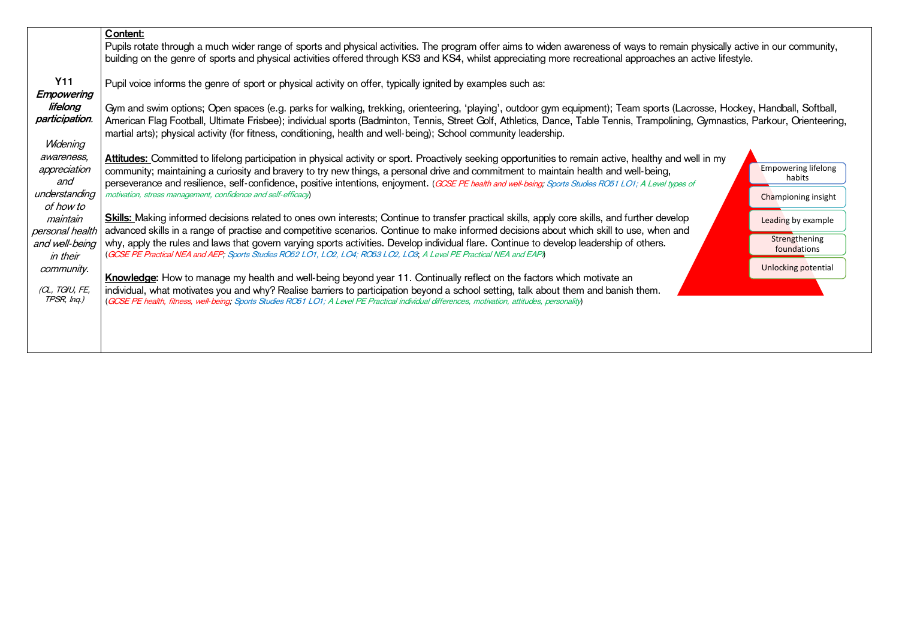|                                                                         | Content:<br>Pupils rotate through a much wider range of sports and physical activities. The program offer aims to widen awareness of ways to remain physically active in our community,<br>building on the genre of sports and physical activities offered through KS3 and KS4, whilst appreciating more recreational approaches an active lifestyle.                                                                                                                                                                                                                                                                                                                                           |                                                             |  |  |  |  |
|-------------------------------------------------------------------------|-------------------------------------------------------------------------------------------------------------------------------------------------------------------------------------------------------------------------------------------------------------------------------------------------------------------------------------------------------------------------------------------------------------------------------------------------------------------------------------------------------------------------------------------------------------------------------------------------------------------------------------------------------------------------------------------------|-------------------------------------------------------------|--|--|--|--|
| <b>Y11</b><br><b>Empowering</b>                                         | Pupil voice informs the genre of sport or physical activity on offer, typically ignited by examples such as:                                                                                                                                                                                                                                                                                                                                                                                                                                                                                                                                                                                    |                                                             |  |  |  |  |
| lifelong<br>participation.<br>Widening                                  | Gym and swim options; Open spaces (e.g. parks for walking, trekking, orienteering, 'playing', outdoor gym equipment); Team sports (Lacrosse, Hockey, Handball, Softball,<br>American Flag Football, Ultimate Frisbee); individual sports (Badminton, Tennis, Street Golf, Athletics, Dance, Table Tennis, Trampolining, Gymnastics, Parkour, Orienteering,<br>martial arts); physical activity (for fitness, conditioning, health and well-being); School community leadership.                                                                                                                                                                                                                 |                                                             |  |  |  |  |
| awareness,<br>appreciation<br>and<br>understanding<br>of how to         | Attitudes: Committed to lifelong participation in physical activity or sport. Proactively seeking opportunities to remain active, healthy and well in my<br>community; maintaining a curiosity and bravery to try new things, a personal drive and commitment to maintain health and well-being,<br>perseverance and resilience, self-confidence, positive intentions, enjoyment. (GCSE PE health and well-being, Sports Studies RO51 LO1; A Level types of<br>motivation, stress management, confidence and self-efficacy)                                                                                                                                                                     | <b>Empowering lifelong</b><br>habits<br>Championing insight |  |  |  |  |
| maintain<br>personal health<br>and well-being<br>in their<br>community. | <b>Skills:</b> Making informed decisions related to ones own interests; Continue to transfer practical skills, apply core skills, and further develop<br>advanced skills in a range of practise and competitive scenarios. Continue to make informed decisions about which skill to use, when and<br>why, apply the rules and laws that govern varying sports activities. Develop individual flare. Continue to develop leadership of others.<br>(GCSE PE Practical NEA and AEP; Sports Studies RO52 LO1, LO2, LO4; RO53 LO2, LO3, A Level PE Practical NEA and EAPI)<br>Knowledge: How to manage my health and well-being beyond year 11. Continually reflect on the factors which motivate an |                                                             |  |  |  |  |
| (CL, TGfU, FE,<br>TPSR, Ing.)                                           | individual, what motivates you and why? Realise barriers to participation beyond a school setting, talk about them and banish them.<br>(GCSE PE health, fitness, well-being; Sports Studies RO51 LO1; A Level PE Practical individual differences, motivation, attitudes, personality)                                                                                                                                                                                                                                                                                                                                                                                                          |                                                             |  |  |  |  |